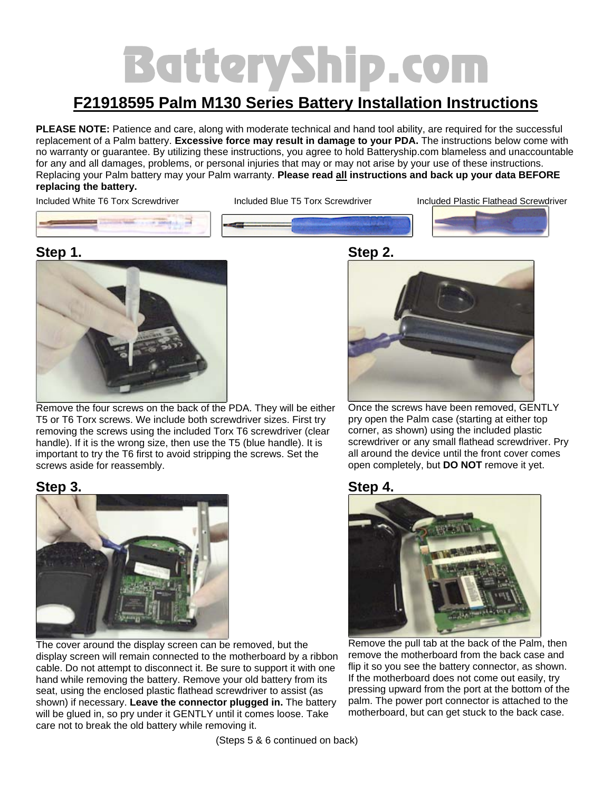# BatteryShip.com

## **F21918595 Palm M130 Series Battery Installation Instructions**

**PLEASE NOTE:** Patience and care, along with moderate technical and hand tool ability, are required for the successful replacement of a Palm battery. **Excessive force may result in damage to your PDA.** The instructions below come with no warranty or guarantee. By utilizing these instructions, you agree to hold Batteryship.com blameless and unaccountable for any and all damages, problems, or personal injuries that may or may not arise by your use of these instructions. Replacing your Palm battery may your Palm warranty. **Please read all instructions and back up your data BEFORE replacing the battery.** 

Included White T6 Torx Screwdriver Included Blue T5 Torx Screwdriver Included Plastic Flathead Screwdriver





Remove the four screws on the back of the PDA. They will be either T5 or T6 Torx screws. We include both screwdriver sizes. First try removing the screws using the included Torx T6 screwdriver (clear handle). If it is the wrong size, then use the T5 (blue handle). It is important to try the T6 first to avoid stripping the screws. Set the screws aside for reassembly.

#### **Step 3.**



The cover around the display screen can be removed, but the display screen will remain connected to the motherboard by a ribbon cable. Do not attempt to disconnect it. Be sure to support it with one hand while removing the battery. Remove your old battery from its seat, using the enclosed plastic flathead screwdriver to assist (as shown) if necessary. **Leave the connector plugged in.** The battery will be glued in, so pry under it GENTLY until it comes loose. Take care not to break the old battery while removing it.





Once the screws have been removed, GENTLY pry open the Palm case (starting at either top corner, as shown) using the included plastic screwdriver or any small flathead screwdriver. Pry all around the device until the front cover comes open completely, but **DO NOT** remove it yet.





Remove the pull tab at the back of the Palm, then remove the motherboard from the back case and flip it so you see the battery connector, as shown. If the motherboard does not come out easily, try pressing upward from the port at the bottom of the palm. The power port connector is attached to the motherboard, but can get stuck to the back case.

(Steps 5 & 6 continued on back)